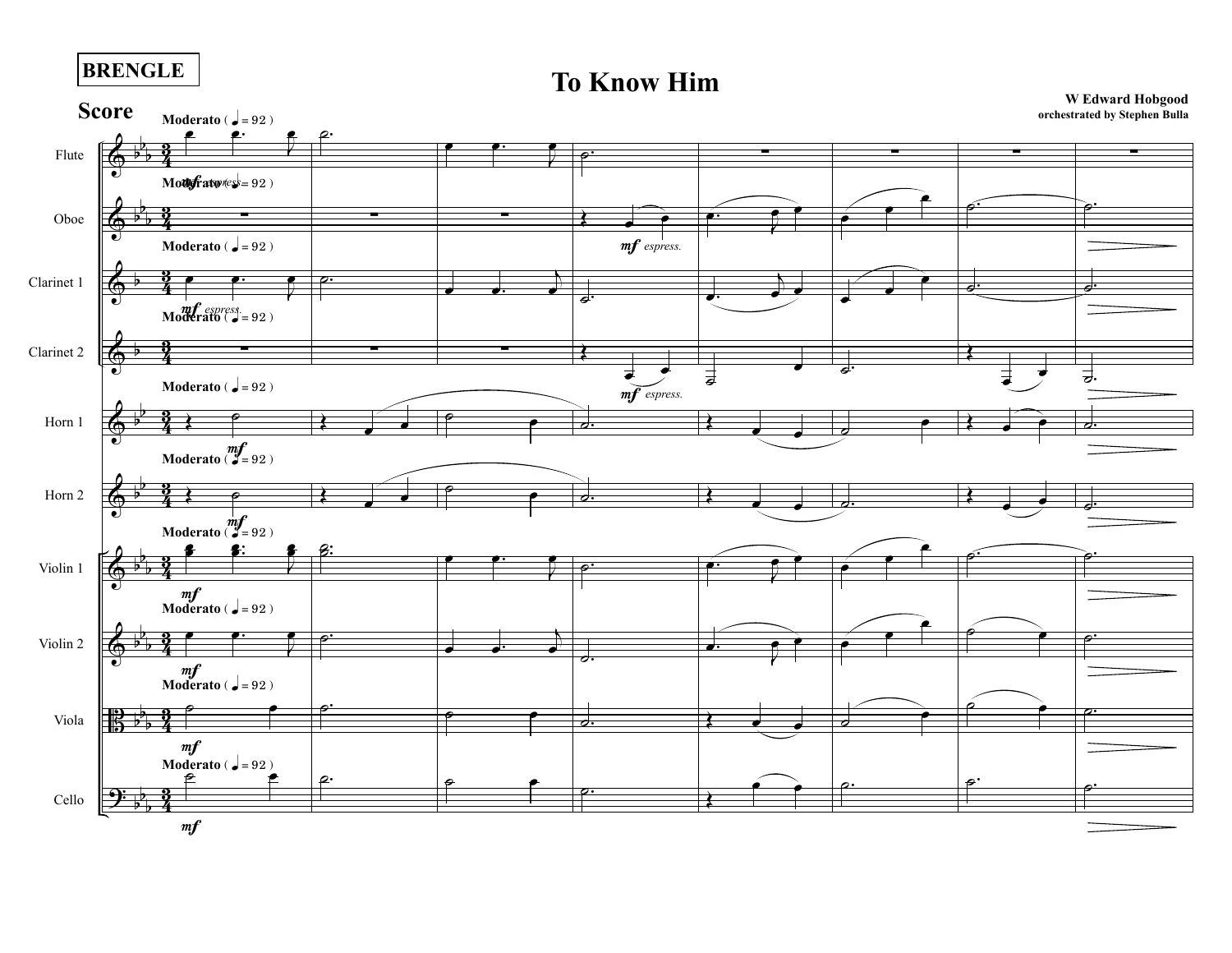**BRENGLE**

**To Know Him**

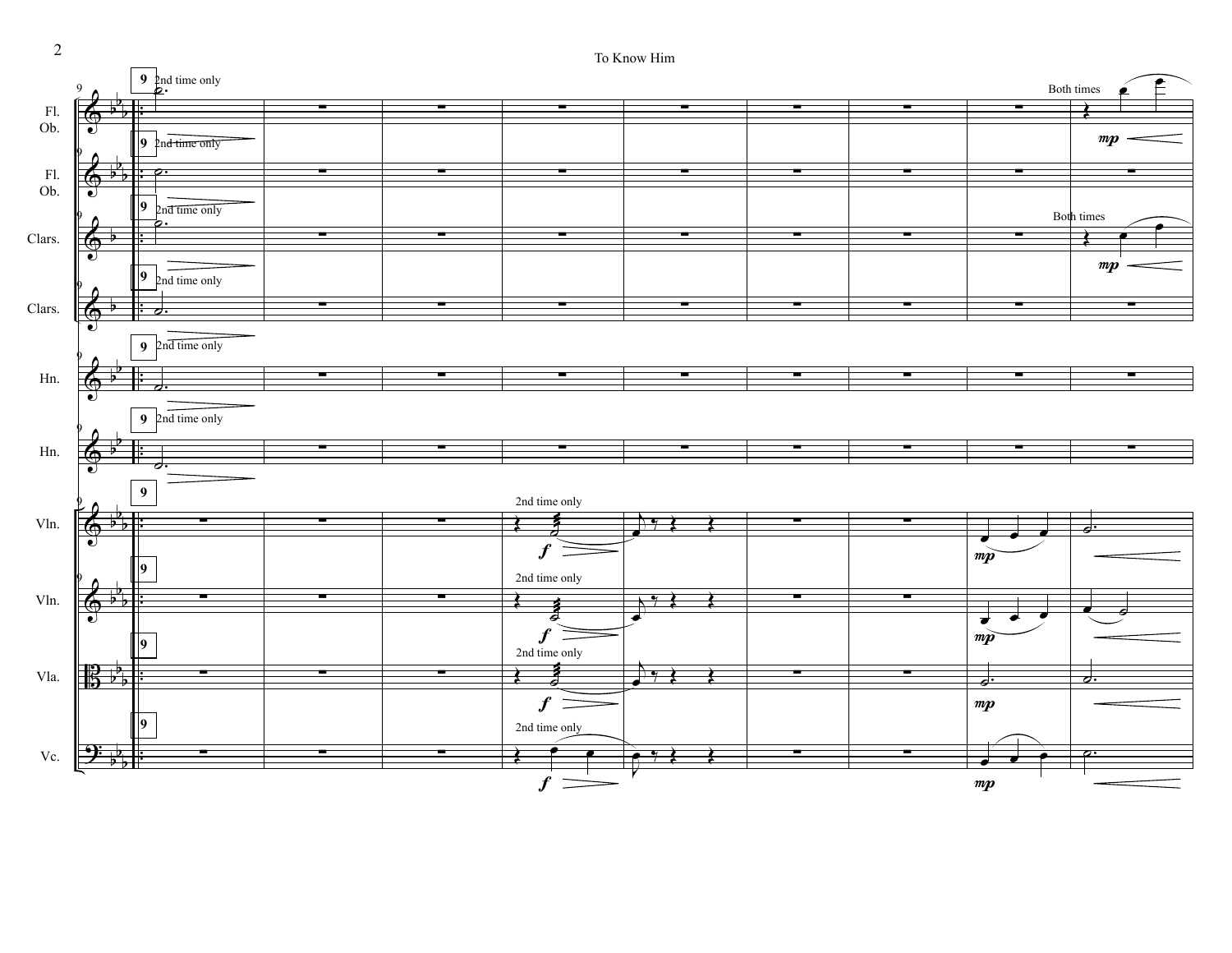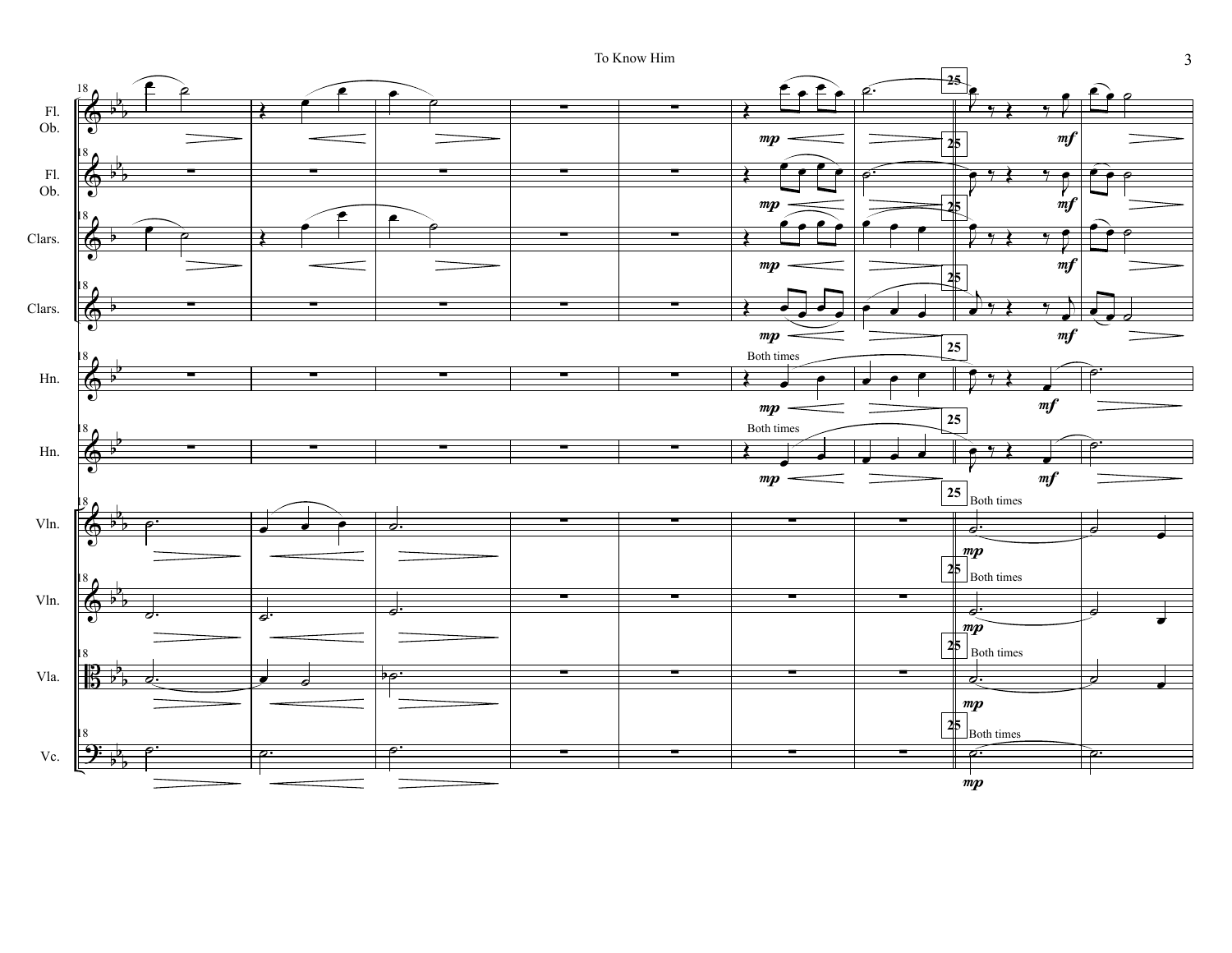To Know Him



3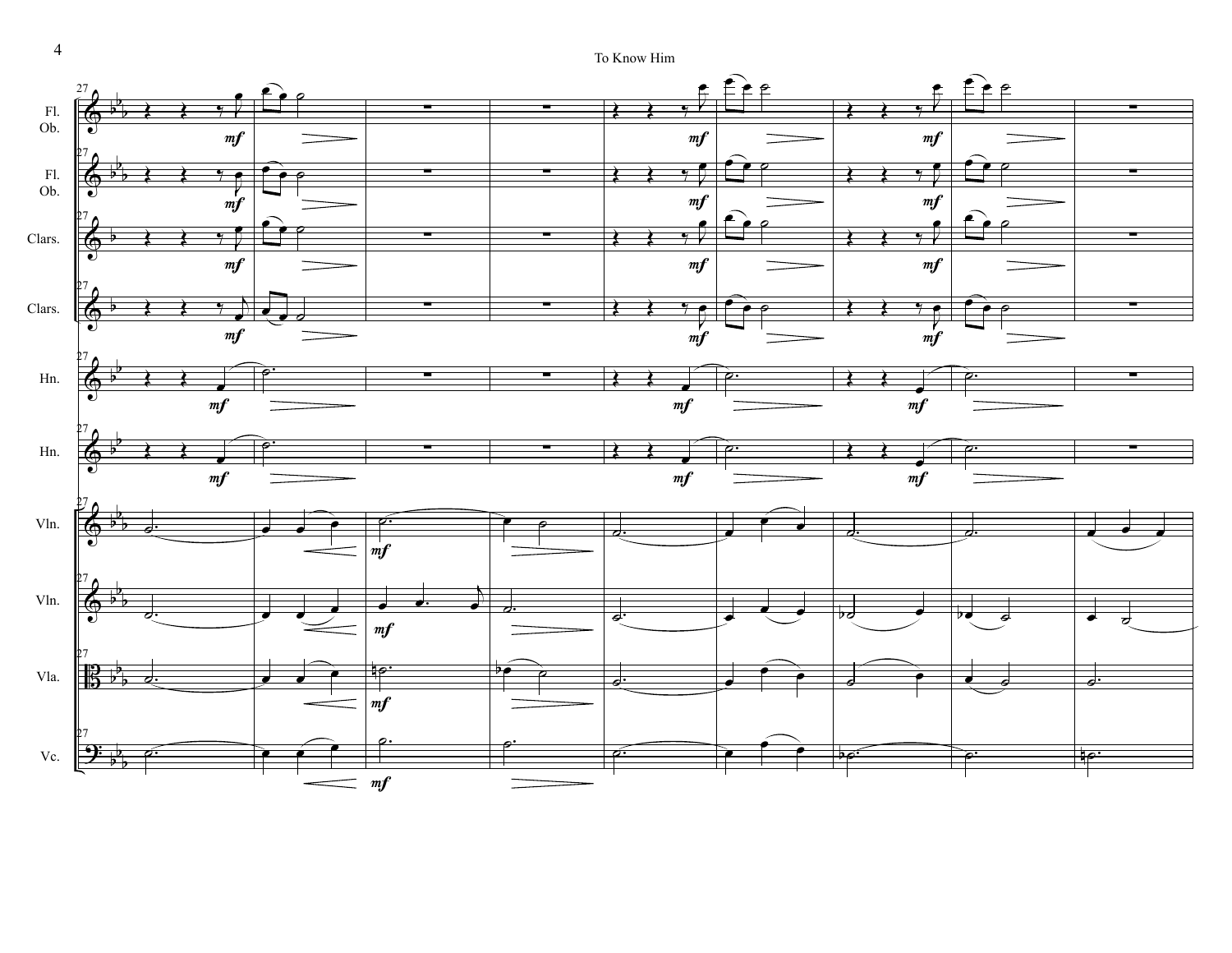

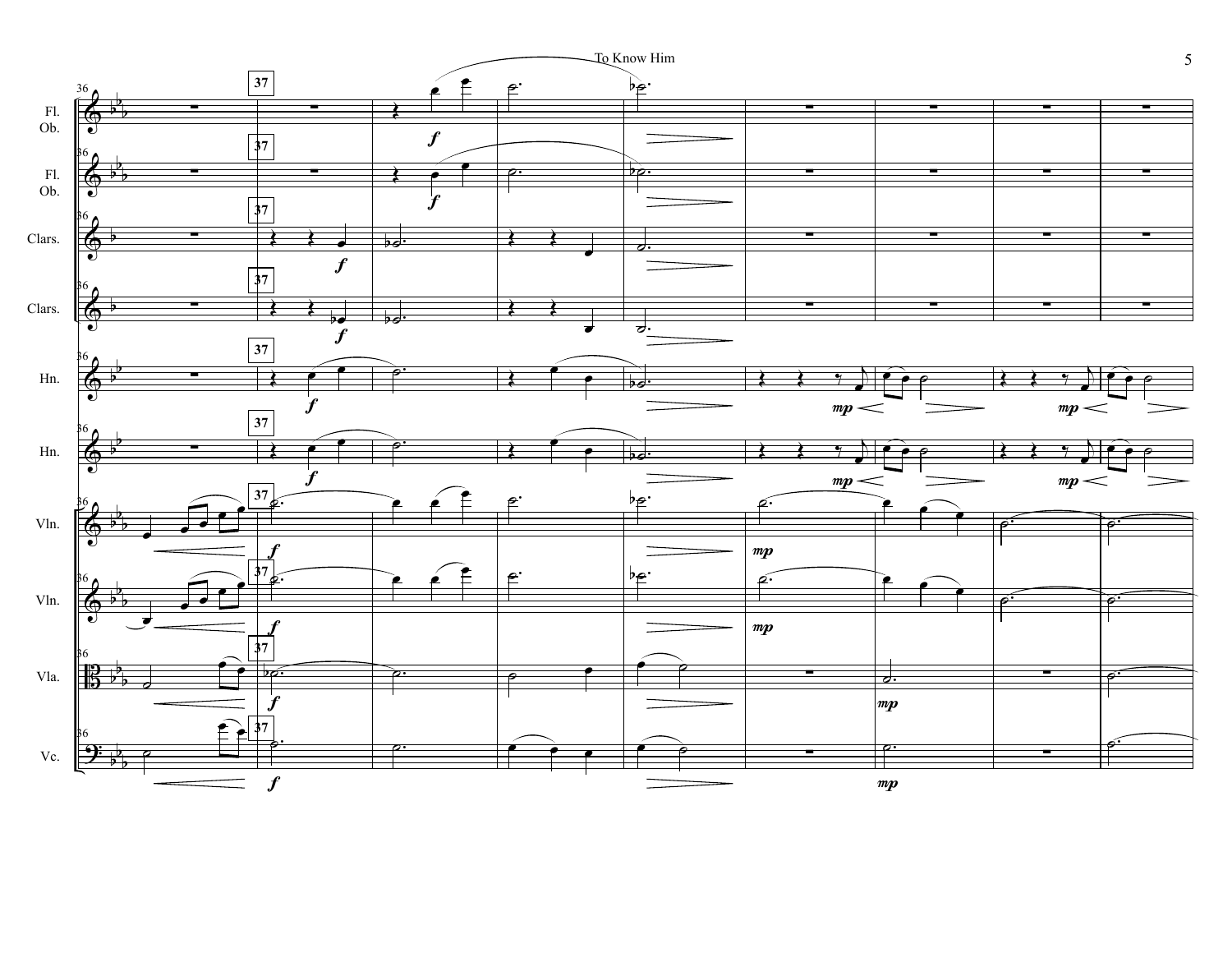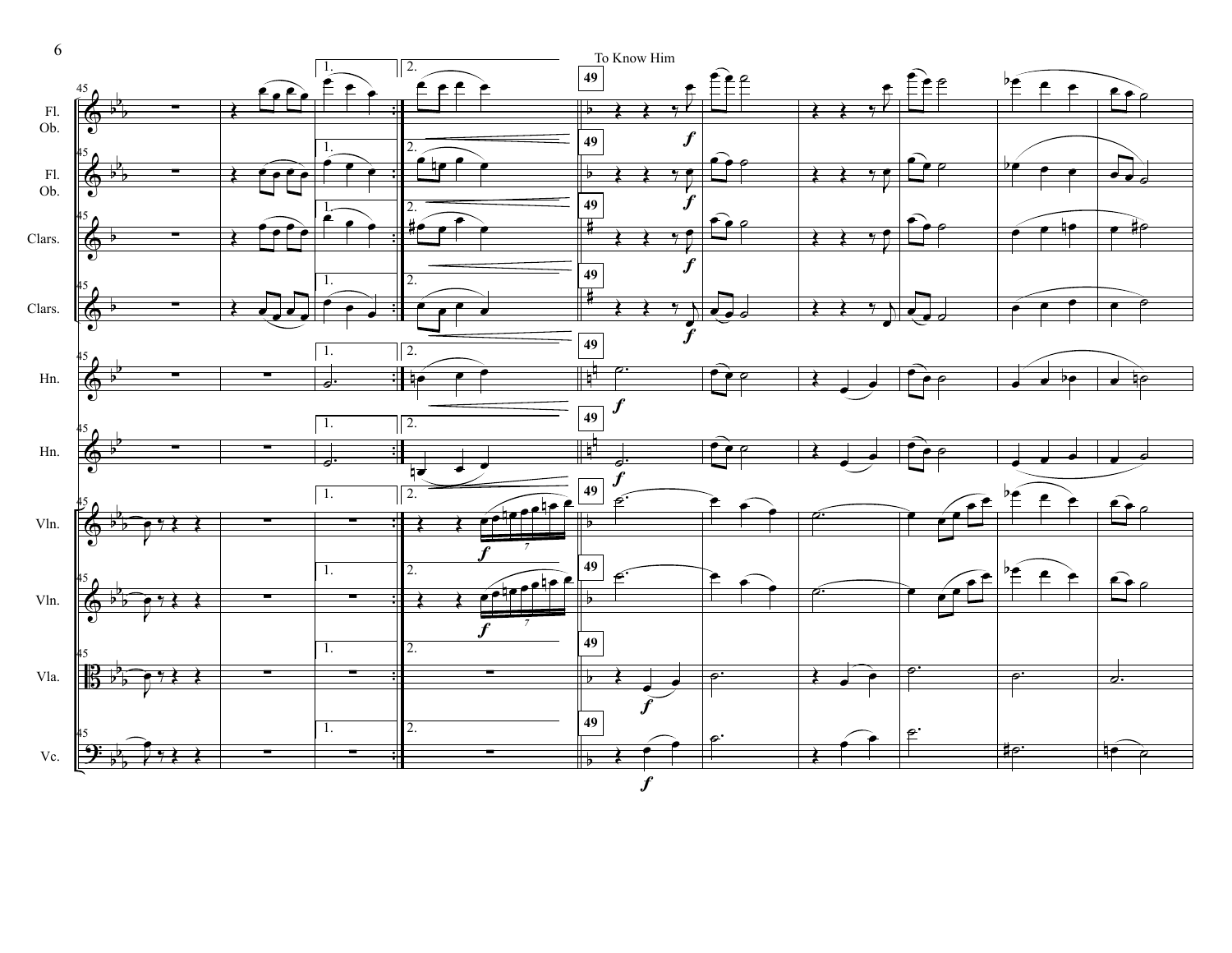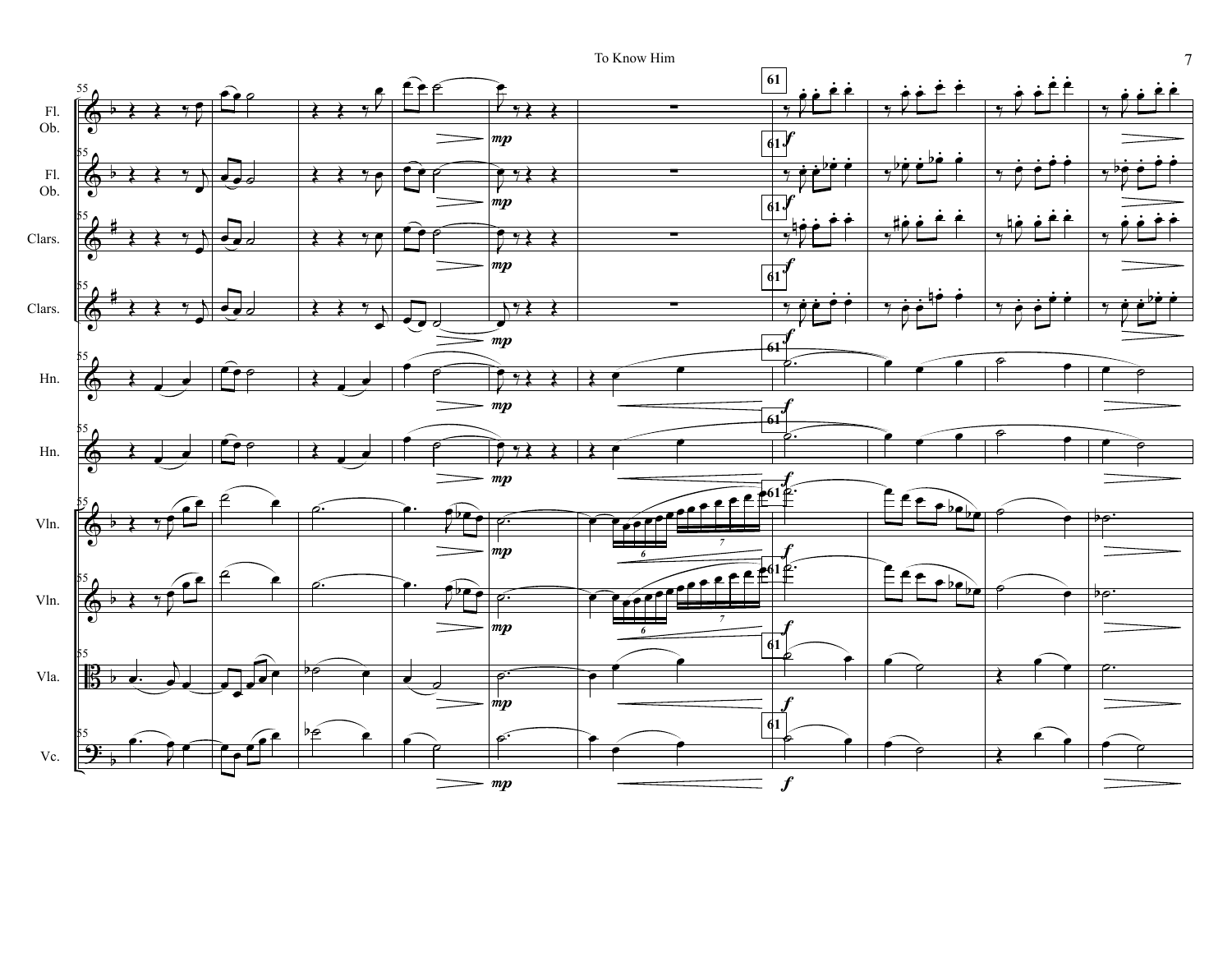



7